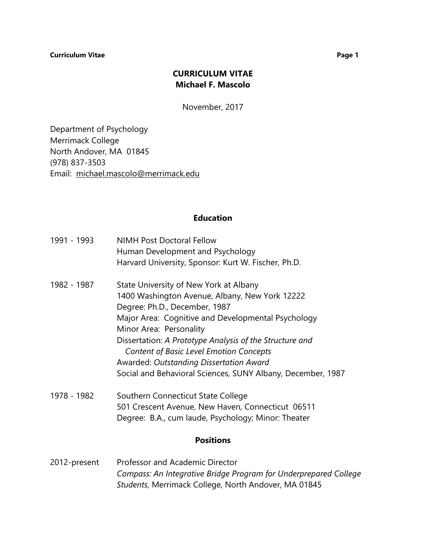# **CURRICULUM VITAE Michael F. Mascolo**

November, 2017

Department of Psychology Merrimack College North Andover, MA 01845 (978) 837-3503 Email: [michael.mascolo@merrimack.edu](mailto:michael.mascolo@merrimack.edu)

## **Education**

| 1991 - 1993 | <b>NIMH Post Doctoral Fellow</b><br>Human Development and Psychology<br>Harvard University, Sponsor: Kurt W. Fischer, Ph.D.                                                                                                                                                                                                                                                                                                       |
|-------------|-----------------------------------------------------------------------------------------------------------------------------------------------------------------------------------------------------------------------------------------------------------------------------------------------------------------------------------------------------------------------------------------------------------------------------------|
| 1982 - 1987 | State University of New York at Albany<br>1400 Washington Avenue, Albany, New York 12222<br>Degree: Ph.D., December, 1987<br>Major Area: Cognitive and Developmental Psychology<br>Minor Area: Personality<br>Dissertation: A Prototype Analysis of the Structure and<br><b>Content of Basic Level Emotion Concepts</b><br>Awarded: Outstanding Dissertation Award<br>Social and Behavioral Sciences, SUNY Albany, December, 1987 |
| 1978 - 1982 | Southern Connecticut State College<br>501 Crescent Avenue, New Haven, Connecticut 06511<br>Degree: B.A., cum laude, Psychology; Minor: Theater                                                                                                                                                                                                                                                                                    |

## **Positions**

2012-present Professor and Academic Director *Compass: An Integrative Bridge Program for Underprepared College Students,* Merrimack College, North Andover, MA 01845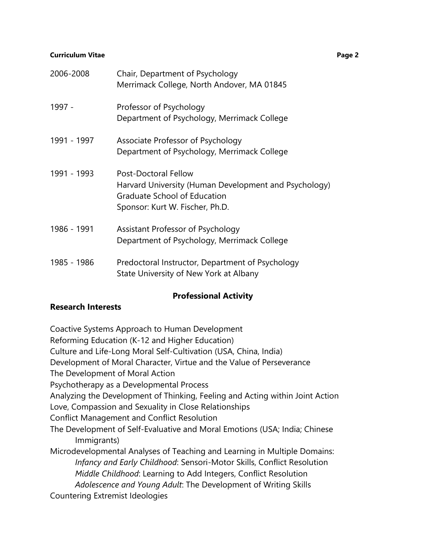| 2006-2008   | Chair, Department of Psychology<br>Merrimack College, North Andover, MA 01845                                                                           |
|-------------|---------------------------------------------------------------------------------------------------------------------------------------------------------|
| 1997 -      | Professor of Psychology<br>Department of Psychology, Merrimack College                                                                                  |
| 1991 - 1997 | Associate Professor of Psychology<br>Department of Psychology, Merrimack College                                                                        |
| 1991 - 1993 | <b>Post-Doctoral Fellow</b><br>Harvard University (Human Development and Psychology)<br>Graduate School of Education<br>Sponsor: Kurt W. Fischer, Ph.D. |
| 1986 - 1991 | Assistant Professor of Psychology<br>Department of Psychology, Merrimack College                                                                        |
| 1985 - 1986 | Predoctoral Instructor, Department of Psychology<br>State University of New York at Albany                                                              |

# **Professional Activity**

# **Research Interests**

Coactive Systems Approach to Human Development

Reforming Education (K-12 and Higher Education)

Culture and Life-Long Moral Self-Cultivation (USA, China, India)

Development of Moral Character, Virtue and the Value of Perseverance

The Development of Moral Action

Psychotherapy as a Developmental Process

Analyzing the Development of Thinking, Feeling and Acting within Joint Action

Love, Compassion and Sexuality in Close Relationships

Conflict Management and Conflict Resolution

The Development of Self-Evaluative and Moral Emotions (USA; India; Chinese Immigrants)

Microdevelopmental Analyses of Teaching and Learning in Multiple Domains: *Infancy and Early Childhood*: Sensori-Motor Skills, Conflict Resolution *Middle Childhood*: Learning to Add Integers, Conflict Resolution *Adolescence and Young Adult*: The Development of Writing Skills Countering Extremist Ideologies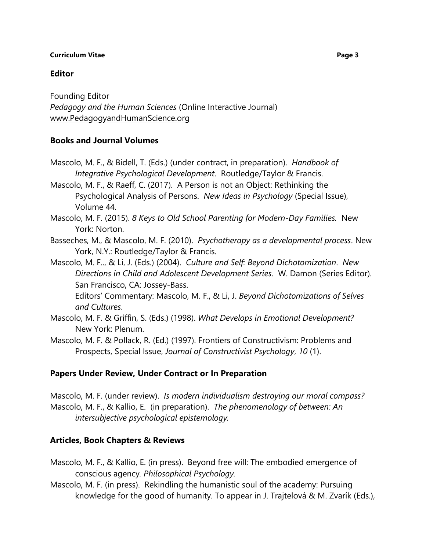# **Editor**

Founding Editor *Pedagogy and the Human Sciences* (Online Interactive Journal) [www.PedagogyandHumanScience.org](http://www.pedagogyandhumanscience.org/)

# **Books and Journal Volumes**

Mascolo, M. F., & Bidell, T. (Eds.) (under contract, in preparation). *Handbook of Integrative Psychological Development*. Routledge/Taylor & Francis.

Mascolo, M. F., & Raeff, C. (2017). A Person is not an Object: Rethinking the Psychological Analysis of Persons. *New Ideas in Psychology* (Special Issue), Volume 44.

- Mascolo, M. F. (2015). *8 Keys to Old School Parenting for Modern-Day Families.* New York: Norton.
- Basseches, M., & Mascolo, M. F. (2010). *Psychotherapy as a developmental process*. New York, N.Y.: Routledge/Taylor & Francis.
- Mascolo, M. F.., & Li, J. (Eds.) (2004). *Culture and Self: Beyond Dichotomization*. *New Directions in Child and Adolescent Development Series*. W. Damon (Series Editor). San Francisco, CA: Jossey-Bass.

Editors' Commentary: Mascolo, M. F., & Li, J. *Beyond Dichotomizations of Selves and Cultures*.

- Mascolo, M. F. & Griffin, S. (Eds.) (1998). *What Develops in Emotional Development?* New York: Plenum.
- Mascolo, M. F. & Pollack, R. (Ed.) (1997). Frontiers of Constructivism: Problems and Prospects, Special Issue, *Journal of Constructivist Psychology*, *10* (1).

## **Papers Under Review, Under Contract or In Preparation**

Mascolo, M. F. (under review). *Is modern individualism destroying our moral compass?* Mascolo, M. F., & Kallio, E. (in preparation). *The phenomenology of between: An intersubjective psychological epistemology.* 

# **Articles, Book Chapters & Reviews**

- Mascolo, M. F., & Kallio, E. (in press). Beyond free will: The embodied emergence of conscious agency*. Philosophical Psychology.*
- Mascolo, M. F. (in press). Rekindling the humanistic soul of the academy: Pursuing knowledge for the good of humanity. To appear in J. Trajtelová & M. Zvarík (Eds.),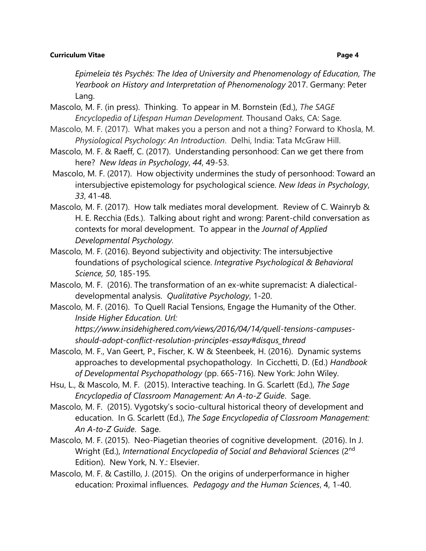*Epimeleia tēs Psychēs: The Idea of University and Phenomenology of Education, The Yearbook on History and Interpretation of Phenomenology* 2017. Germany: Peter Lang.

- Mascolo, M. F. (in press). Thinking. To appear in M. Bornstein (Ed.), *The SAGE Encyclopedia of Lifespan Human Development.* Thousand Oaks, CA: Sage.
- Mascolo, M. F. (2017). What makes you a person and not a thing? Forward to Khosla, M. *Physiological Psychology: An Introduction*. Delhi, India: Tata McGraw Hill.
- Mascolo, M. F. & Raeff, C. (2017). Understanding personhood: Can we get there from here? *New Ideas in Psychology*, *44*, 49-53.
- Mascolo, M. F. (2017). How objectivity undermines the study of personhood: Toward an intersubjective epistemology for psychological science. *New Ideas in Psychology*, *33*, 41-48.
- Mascolo, M. F. (2017). How talk mediates moral development. Review of C. Wainryb & H. E. Recchia (Eds.). Talking about right and wrong: Parent-child conversation as contexts for moral development. To appear in the *Journal of Applied Developmental Psychology.*
- Mascolo, M. F. (2016). Beyond subjectivity and objectivity: The intersubjective foundations of psychological science. *Integrative Psychological & Behavioral Science, 50*, 185-195*.*
- Mascolo, M. F. (2016). The transformation of an ex-white supremacist: A dialecticaldevelopmental analysis. *Qualitative Psychology*, 1-20.
- Mascolo, M. F. (2016). To Quell Racial Tensions, Engage the Humanity of the Other. *Inside Higher Education. Url: https://www.insidehighered.com/views/2016/04/14/quell-tensions-campuses-*

*should-adopt-conflict-resolution-principles-essay#disqus\_thread*

- Mascolo, M. F., Van Geert, P., Fischer, K. W & Steenbeek, H. (2016). Dynamic systems approaches to developmental psychopathology. In Cicchetti, D. (Ed.) *Handbook of Developmental Psychopathology* (pp. 665-716)*.* New York: John Wiley.
- Hsu, L., & Mascolo, M. F. (2015). Interactive teaching. In G. Scarlett (Ed.), *The Sage Encyclopedia of Classroom Management: An A-to-Z Guide*. Sage.
- Mascolo, M. F. (2015). Vygotsky's socio-cultural historical theory of development and education. In G. Scarlett (Ed.), *The Sage Encyclopedia of Classroom Management: An A-to-Z Guide*. Sage.
- Mascolo, M. F. (2015). Neo-Piagetian theories of cognitive development. (2016). In J. Wright (Ed.), *International Encyclopedia of Social and Behavioral Sciences* (2nd Edition). New York, N. Y.: Elsevier.
- Mascolo, M. F. & Castillo, J. (2015). On the origins of underperformance in higher education: Proximal influences. *Pedagogy and the Human Sciences*, 4, 1-40.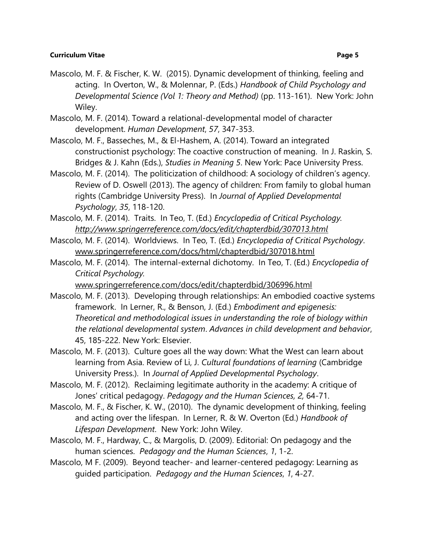- Mascolo, M. F. & Fischer, K. W. (2015). Dynamic development of thinking, feeling and acting. In Overton, W., & Molennar, P. (Eds.) *Handbook of Child Psychology and Developmental Science (Vol 1: Theory and Method)* (pp. 113-161). New York: John Wiley.
- Mascolo, M. F. (2014). Toward a relational-developmental model of character development. *Human Development*, *57*, 347-353.
- Mascolo, M. F., Basseches, M., & El-Hashem, A. (2014). Toward an integrated constructionist psychology: The coactive construction of meaning. In J. Raskin, S. Bridges & J. Kahn (Eds.), *Studies in Meaning 5*. New York: Pace University Press.
- Mascolo, M. F. (2014). The politicization of childhood: A sociology of children's agency. Review of D. Oswell (2013). The agency of children: From family to global human rights (Cambridge University Press). In *Journal of Applied Developmental Psychology*, *35*, 118-120.
- Mascolo, M. F. (2014). Traits. In Teo, T. (Ed.) *Encyclopedia of Critical Psychology. <http://www.springerreference.com/docs/edit/chapterdbid/307013.html>*
- Mascolo, M. F. (2014). Worldviews. In Teo, T. (Ed.) *Encyclopedia of Critical Psychology*. [www.springerreference.com/docs/html/chapterdbid/307018.html](http://www.springerreference.com/docs/html/chapterdbid/307018.html)
- Mascolo, M. F. (2014). The internal-external dichotomy. In Teo, T. (Ed.) *Encyclopedia of Critical Psychology.*

[www.springerreference.com/docs/edit/chapterdbid/306996.html](http://www.springerreference.com/docs/edit/chapterdbid/306996.html)

- Mascolo, M. F. (2013). Developing through relationships: An embodied coactive systems framework. In Lerner, R., & Benson, J. (Ed.) *Embodiment and epigenesis: Theoretical and methodological issues in understanding the role of biology within the relational developmental system*. *Advances in child development and behavior*, 45, 185-222. New York: Elsevier.
- Mascolo, M. F. (2013). Culture goes all the way down: What the West can learn about learning from Asia. Review of Li, J. *Cultural foundations of learning* (Cambridge University Press.). In *Journal of Applied Developmental Psychology*.
- Mascolo, M. F. (2012). Reclaiming legitimate authority in the academy: A critique of Jones' critical pedagogy. *Pedagogy and the Human Sciences, 2,* 64-71.
- Mascolo, M. F., & Fischer, K. W., (2010). The dynamic development of thinking, feeling and acting over the lifespan. In Lerner, R. & W. Overton (Ed.) *Handbook of Lifespan Development*. New York: John Wiley.
- Mascolo, M. F., Hardway, C., & Margolis, D. (2009). Editorial: On pedagogy and the human sciences. *Pedagogy and the Human Sciences*, *1*, 1-2.
- Mascolo, M F. (2009). Beyond teacher- and learner-centered pedagogy: Learning as guided participation. *Pedagogy and the Human Sciences*, *1*, 4-27.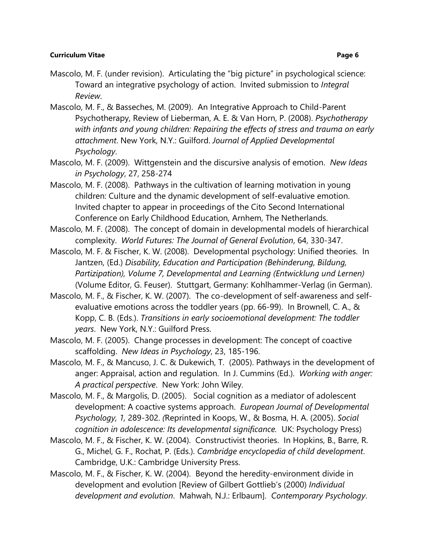- Mascolo, M. F. (under revision). Articulating the "big picture" in psychological science: Toward an integrative psychology of action. Invited submission to *Integral Review*.
- Mascolo, M. F., & Basseches, M. (2009). An Integrative Approach to Child-Parent Psychotherapy, Review of Lieberman, A. E. & Van Horn, P. (2008). *Psychotherapy with infants and young children: Repairing the effects of stress and trauma on early attachment*. New York, N.Y.: Guilford. *Journal of Applied Developmental Psychology*.
- Mascolo, M. F. (2009). Wittgenstein and the discursive analysis of emotion. *New Ideas in Psychology*, 27, 258-274
- Mascolo, M. F. (2008). Pathways in the cultivation of learning motivation in young children: Culture and the dynamic development of self-evaluative emotion. Invited chapter to appear in proceedings of the Cito Second International Conference on Early Childhood Education, Arnhem, The Netherlands.
- Mascolo, M. F. (2008). The concept of domain in developmental models of hierarchical complexity. *World Futures: The Journal of General Evolution*, 64, 330-347.
- Mascolo, M. F. & Fischer, K. W. (2008). Developmental psychology: Unified theories. In Jantzen, (Ed.) *Disability, Education and Participation (Behinderung, Bildung, Partizipation), Volume 7, Developmental and Learning (Entwicklung und Lernen)*  (Volume Editor, G. Feuser). Stuttgart, Germany: Kohlhammer-Verlag (in German).
- Mascolo, M. F., & Fischer, K. W. (2007). The co-development of self-awareness and selfevaluative emotions across the toddler years (pp. 66-99). In Brownell, C. A., & Kopp, C. B. (Eds.). *Transitions in early socioemotional development: The toddler years*. New York, N.Y.: Guilford Press.
- Mascolo, M. F. (2005). Change processes in development: The concept of coactive scaffolding. *New Ideas in Psychology*, 23, 185-196.
- Mascolo, M. F., & Mancuso, J. C. & Dukewich, T. (2005). Pathways in the development of anger: Appraisal, action and regulation. In J. Cummins (Ed.). *Working with anger: A practical perspective*. New York: John Wiley.
- Mascolo, M. F., & Margolis, D. (2005). Social cognition as a mediator of adolescent development: A coactive systems approach. *European Journal of Developmental Psychology, 1,* 289-302. *(*Reprinted in Koops, W., & Bosma, H. A. (2005). *Social cognition in adolescence: Its developmental significance.* UK: Psychology Press)
- Mascolo, M. F., & Fischer, K. W. (2004). Constructivist theories. In Hopkins, B., Barre, R. G., Michel, G. F., Rochat, P. (Eds.). *Cambridge encyclopedia of child development*. Cambridge, U.K.: Cambridge University Press.
- Mascolo, M. F., & Fischer, K. W. (2004). Beyond the heredity-environment divide in development and evolution [Review of Gilbert Gottlieb's (2000) *Individual development and evolution*. Mahwah, N.J.: Erlbaum]. *Contemporary Psychology*.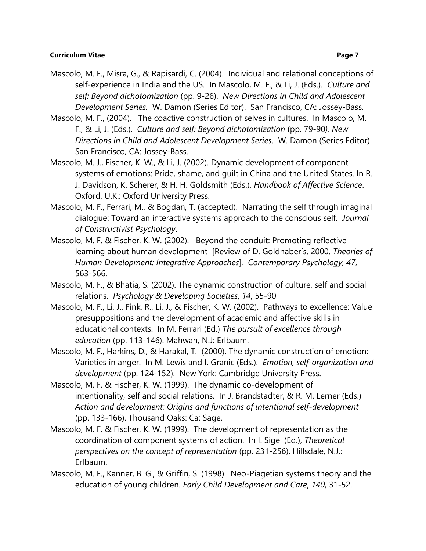- Mascolo, M. F., Misra, G., & Rapisardi, C. (2004). Individual and relational conceptions of self-experience in India and the US. In Mascolo, M. F., & Li, J. (Eds.). *Culture and self: Beyond dichotomization* (pp. 9-26). *New Directions in Child and Adolescent Development Series.* W. Damon (Series Editor). San Francisco, CA: Jossey-Bass.
- Mascolo, M. F., (2004). The coactive construction of selves in cultures. In Mascolo, M. F., & Li, J. (Eds.). *Culture and self: Beyond dichotomization* (pp. 79-90*). New Directions in Child and Adolescent Development Series*. W. Damon (Series Editor). San Francisco, CA: Jossey-Bass.
- Mascolo, M. J., Fischer, K. W., & Li, J. (2002). Dynamic development of component systems of emotions: Pride, shame, and guilt in China and the United States. In R. J. Davidson, K. Scherer, & H. H. Goldsmith (Eds.), *Handbook of Affective Science*. Oxford, U.K.: Oxford University Press.
- Mascolo, M. F., Ferrari, M., & Bogdan, T. (accepted). Narrating the self through imaginal dialogue: Toward an interactive systems approach to the conscious self. *Journal of Constructivist Psychology*.
- Mascolo, M. F. & Fischer, K. W. (2002). Beyond the conduit: Promoting reflective learning about human development [Review of D. Goldhaber's, 2000, *Theories of Human Development: Integrative Approaches*]*. Contemporary Psychology, 47*, 563-566.
- Mascolo, M. F., & Bhatia, S. (2002). The dynamic construction of culture, self and social relations. *Psychology & Developing Societies*, *14*, 55-90
- Mascolo, M. F., Li, J., Fink, R., Li, J., & Fischer, K. W. (2002). Pathways to excellence: Value presuppositions and the development of academic and affective skills in educational contexts. In M. Ferrari (Ed.) *The pursuit of excellence through education* (pp. 113-146). Mahwah, N.J: Erlbaum.
- Mascolo, M. F., Harkins, D., & Harakal, T. (2000). The dynamic construction of emotion: Varieties in anger. In M. Lewis and I. Granic (Eds.). *Emotion, self-organization and development* (pp. 124-152). New York: Cambridge University Press.
- Mascolo, M. F. & Fischer, K. W. (1999). The dynamic co-development of intentionality, self and social relations. In J. Brandstadter, & R. M. Lerner (Eds.) *Action and development: Origins and functions of intentional self-development* (pp. 133-166). Thousand Oaks: Ca: Sage.
- Mascolo, M. F. & Fischer, K. W. (1999). The development of representation as the coordination of component systems of action. In I. Sigel (Ed.), *Theoretical perspectives on the concept of representation* (pp. 231-256). Hillsdale, N.J.: Erlbaum.
- Mascolo, M. F., Kanner, B. G., & Griffin, S. (1998). Neo-Piagetian systems theory and the education of young children. *Early Child Development and Care*, *140*, 31-52.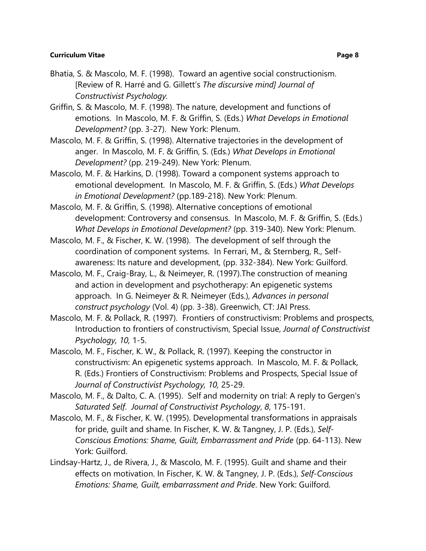- Bhatia, S. & Mascolo, M. F. (1998). Toward an agentive social constructionism. [Review of R. Harré and G. Gillett's *The discursive mind] Journal of Constructivist Psychology.*
- Griffin, S. & Mascolo, M. F. (1998). The nature, development and functions of emotions. In Mascolo, M. F. & Griffin, S. (Eds.) *What Develops in Emotional Development?* (pp. 3-27). New York: Plenum.
- Mascolo, M. F. & Griffin, S. (1998). Alternative trajectories in the development of anger. In Mascolo, M. F. & Griffin, S. (Eds.) *What Develops in Emotional Development?* (pp. 219-249). New York: Plenum.
- Mascolo, M. F. & Harkins, D. (1998). Toward a component systems approach to emotional development. In Mascolo, M. F. & Griffin, S. (Eds.) *What Develops in Emotional Development?* (pp.189-218). New York: Plenum.
- Mascolo, M. F. & Griffin, S. (1998). Alternative conceptions of emotional development: Controversy and consensus. In Mascolo, M. F. & Griffin, S. (Eds.) *What Develops in Emotional Development?* (pp. 319-340). New York: Plenum.
- Mascolo, M. F., & Fischer, K. W. (1998). The development of self through the coordination of component systems. In Ferrari, M., & Sternberg, R., Selfawareness: Its nature and development, (pp. 332-384). New York: Guilford.
- Mascolo, M. F., Craig-Bray, L., & Neimeyer, R. (1997).The construction of meaning and action in development and psychotherapy: An epigenetic systems approach. In G. Neimeyer & R. Neimeyer (Eds.), *Advances in personal construct psychology* (Vol. 4) (pp. 3-38). Greenwich, CT: JAI Press.
- Mascolo, M. F. & Pollack, R. (1997). Frontiers of constructivism: Problems and prospects, Introduction to frontiers of constructivism, Special Issue, *Journal of Constructivist Psychology, 10,* 1-5.
- Mascolo, M. F., Fischer, K. W., & Pollack, R. (1997). Keeping the constructor in constructivism: An epigenetic systems approach. In Mascolo, M. F. & Pollack, R. (Eds.) Frontiers of Constructivism: Problems and Prospects, Special Issue of *Journal of Constructivist Psychology, 10,* 25-29.
- Mascolo, M. F., & Dalto, C. A. (1995). Self and modernity on trial: A reply to Gergen's *Saturated Self*. *Journal of Constructivist Psychology*, *8*, 175-191.
- Mascolo, M. F., & Fischer, K. W. (1995). Developmental transformations in appraisals for pride, guilt and shame. In Fischer, K. W. & Tangney, J. P. (Eds.), *Self-Conscious Emotions: Shame, Guilt, Embarrassment and Pride* (pp. 64-113). New York: Guilford.
- Lindsay-Hartz, J., de Rivera, J., & Mascolo, M. F. (1995). Guilt and shame and their effects on motivation. In Fischer, K. W. & Tangney, J. P. (Eds.), *Self-Conscious Emotions: Shame, Guilt, embarrassment and Pride*. New York: Guilford.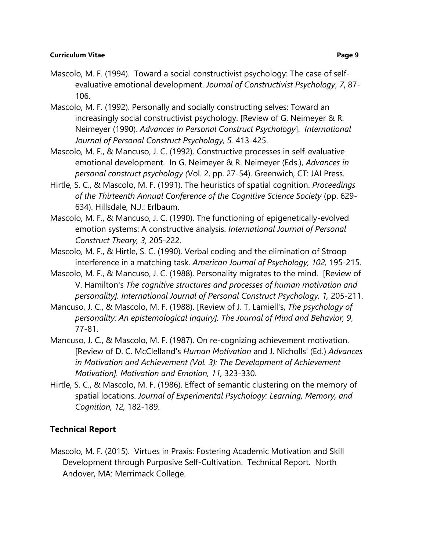- Mascolo, M. F. (1994). Toward a social constructivist psychology: The case of selfevaluative emotional development. *Journal of Constructivist Psychology*, *7*, 87- 106.
- Mascolo, M. F. (1992). Personally and socially constructing selves: Toward an increasingly social constructivist psychology. [Review of G. Neimeyer & R. Neimeyer (1990). *Advances in Personal Construct Psychology*]. *International Journal of Personal Construct Psychology, 5.* 413-425.
- Mascolo, M. F., & Mancuso, J. C. (1992). Constructive processes in self-evaluative emotional development. In G. Neimeyer & R. Neimeyer (Eds.), *Advances in personal construct psychology (*Vol. 2, pp. 27-54). Greenwich, CT: JAI Press.
- Hirtle, S. C., & Mascolo, M. F. (1991). The heuristics of spatial cognition. *Proceedings of the Thirteenth Annual Conference of the Cognitive Science Society* (pp. 629- 634). Hillsdale, N.J.: Erlbaum.
- Mascolo, M. F., & Mancuso, J. C. (1990). The functioning of epigenetically-evolved emotion systems: A constructive analysis. *International Journal of Personal Construct Theory, 3*, 205-222.
- Mascolo, M. F., & Hirtle, S. C. (1990). Verbal coding and the elimination of Stroop interference in a matching task. *American Journal of Psychology, 102,* 195-215.
- Mascolo, M. F., & Mancuso, J. C. (1988). Personality migrates to the mind. [Review of V. Hamilton's *The cognitive structures and processes of human motivation and personality]. International Journal of Personal Construct Psychology, 1,* 205-211.
- Mancuso, J. C., & Mascolo, M. F. (1988). [Review of J. T. Lamiell's, *The psychology of personality: An epistemological inquiry]. The Journal of Mind and Behavior, 9*, 77-81.
- Mancuso, J. C., & Mascolo, M. F. (1987). On re-cognizing achievement motivation. [Review of D. C. McClelland's *Human Motivation* and J. Nicholls' (Ed.) *Advances in Motivation and Achievement (Vol. 3): The Development of Achievement Motivation]. Motivation and Emotion, 11,* 323-330.
- Hirtle, S. C., & Mascolo, M. F. (1986). Effect of semantic clustering on the memory of spatial locations. *Journal of Experimental Psychology: Learning, Memory, and Cognition, 12,* 182-189.

# **Technical Report**

Mascolo, M. F. (2015). Virtues in Praxis: Fostering Academic Motivation and Skill Development through Purposive Self-Cultivation. Technical Report. North Andover, MA: Merrimack College.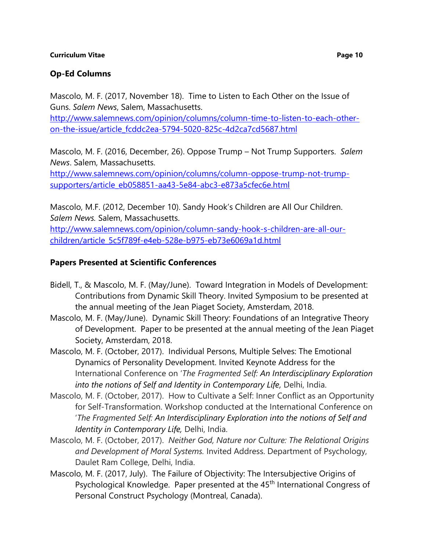## **Op-Ed Columns**

Mascolo, M. F. (2017, November 18). Time to Listen to Each Other on the Issue of Guns. *Salem News*, Salem, Massachusetts.

[http://www.salemnews.com/opinion/columns/column-time-to-listen-to-each-other](http://www.salemnews.com/opinion/columns/column-time-to-listen-to-each-other-on-the-issue/article_fcddc2ea-5794-5020-825c-4d2ca7cd5687.html)[on-the-issue/article\\_fcddc2ea-5794-5020-825c-4d2ca7cd5687.html](http://www.salemnews.com/opinion/columns/column-time-to-listen-to-each-other-on-the-issue/article_fcddc2ea-5794-5020-825c-4d2ca7cd5687.html)

Mascolo, M. F. (2016, December, 26). Oppose Trump – Not Trump Supporters. *Salem News*. Salem, Massachusetts.

[http://www.salemnews.com/opinion/columns/column-oppose-trump-not-trump](http://www.salemnews.com/opinion/columns/column-oppose-trump-not-trump-supporters/article_eb058851-aa43-5e84-abc3-e873a5cfec6e.html)[supporters/article\\_eb058851-aa43-5e84-abc3-e873a5cfec6e.html](http://www.salemnews.com/opinion/columns/column-oppose-trump-not-trump-supporters/article_eb058851-aa43-5e84-abc3-e873a5cfec6e.html)

Mascolo, M.F. (2012, December 10). Sandy Hook's Children are All Our Children. *Salem News.* Salem, Massachusetts.

[http://www.salemnews.com/opinion/column-sandy-hook-s-children-are-all-our](http://www.salemnews.com/opinion/column-sandy-hook-s-children-are-all-our-children/article_5c5f789f-e4eb-528e-b975-eb73e6069a1d.html)[children/article\\_5c5f789f-e4eb-528e-b975-eb73e6069a1d.html](http://www.salemnews.com/opinion/column-sandy-hook-s-children-are-all-our-children/article_5c5f789f-e4eb-528e-b975-eb73e6069a1d.html)

## **Papers Presented at Scientific Conferences**

- Bidell, T., & Mascolo, M. F. (May/June). Toward Integration in Models of Development: Contributions from Dynamic Skill Theory. Invited Symposium to be presented at the annual meeting of the Jean Piaget Society, Amsterdam, 2018.
- Mascolo, M. F. (May/June). Dynamic Skill Theory: Foundations of an Integrative Theory of Development. Paper to be presented at the annual meeting of the Jean Piaget Society, Amsterdam, 2018.
- Mascolo, M. F. (October, 2017). Individual Persons, Multiple Selves: The Emotional Dynamics of Personality Development. Invited Keynote Address for the International Conference on '*The Fragmented Self: An Interdisciplinary Exploration*  into the notions of Self and Identity in Contemporary Life, Delhi, India.
- Mascolo, M. F. (October, 2017). How to Cultivate a Self: Inner Conflict as an Opportunity for Self-Transformation. Workshop conducted at the International Conference on '*The Fragmented Self: An Interdisciplinary Exploration into the notions of Self and Identity in Contemporary Life,* Delhi, India.
- Mascolo, M. F. (October, 2017). *Neither God, Nature nor Culture: The Relational Origins and Development of Moral Systems.* Invited Address. Department of Psychology, Daulet Ram College, Delhi, India.
- Mascolo, M. F. (2017, July). The Failure of Objectivity: The Intersubjective Origins of Psychological Knowledge. Paper presented at the 45<sup>th</sup> International Congress of Personal Construct Psychology (Montreal, Canada).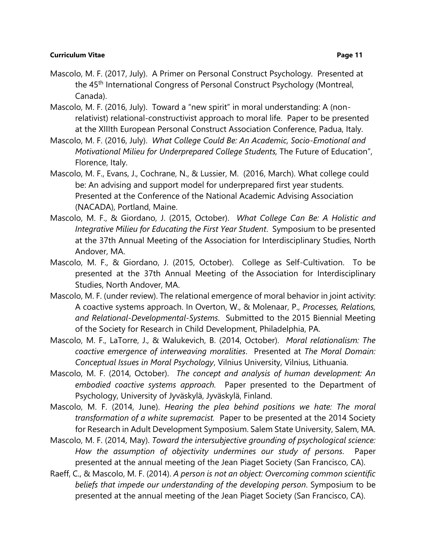- Mascolo, M. F. (2017, July). A Primer on Personal Construct Psychology. Presented at the 45<sup>th</sup> International Congress of Personal Construct Psychology (Montreal, Canada).
- Mascolo, M. F. (2016, July). Toward a "new spirit" in moral understanding: A (nonrelativist) relational-constructivist approach to moral life. Paper to be presented at the XIIIth European Personal Construct Association Conference, Padua, Italy.
- Mascolo, M. F. (2016, July). *What College Could Be: An Academic, Socio-Emotional and Motivational Milieu for Underprepared College Students,* The Future of Education", Florence, Italy.
- Mascolo, M. F., Evans, J., Cochrane, N., & Lussier, M. (2016, March). What college could be: An advising and support model for underprepared first year students. Presented at the Conference of the National Academic Advising Association (NACADA), Portland, Maine.
- Mascolo, M. F., & Giordano, J. (2015, October). *What College Can Be: A Holistic and Integrative Milieu for Educating the First Year Student*. Symposium to be presented at the 37th Annual Meeting of the Association for Interdisciplinary Studies, North Andover, MA.
- Mascolo, M. F., & Giordano, J. (2015, October). College as Self-Cultivation. To be presented at the 37th Annual Meeting of the Association for Interdisciplinary Studies, North Andover, MA.
- Mascolo, M. F. (under review). The relational emergence of moral behavior in joint activity: A coactive systems approach. In Overton, W., & Molenaar, P., *Processes, Relations, and Relational-Developmental-Systems*. Submitted to the 2015 Biennial Meeting of the Society for Research in Child Development, Philadelphia, PA.
- Mascolo, M. F., LaTorre, J., & Walukevich, B. (2014, October). *Moral relationalism: The coactive emergence of interweaving moralities*. Presented at *The Moral Domain: Conceptual Issues in Moral Psychology*, Vilnius University, Vilnius, Lithuania.
- Mascolo, M. F. (2014, October). *The concept and analysis of human development: An embodied coactive systems approach.* Paper presented to the Department of Psychology, University of Jyväskylä, Jyväskylä, Finland.
- Mascolo, M. F. (2014, June). *Hearing the plea behind positions we hate: The moral transformation of a white supremacist.* Paper to be presented at the 2014 Society for Research in Adult Development Symposium. Salem State University, Salem, MA.
- Mascolo, M. F. (2014, May). *Toward the intersubjective grounding of psychological science: How the assumption of objectivity undermines our study of persons*. Paper presented at the annual meeting of the Jean Piaget Society (San Francisco, CA).
- Raeff, C., & Mascolo, M. F. (2014). *A person is not an object: Overcoming common scientific beliefs that impede our understanding of the developing person*. Symposium to be presented at the annual meeting of the Jean Piaget Society (San Francisco, CA).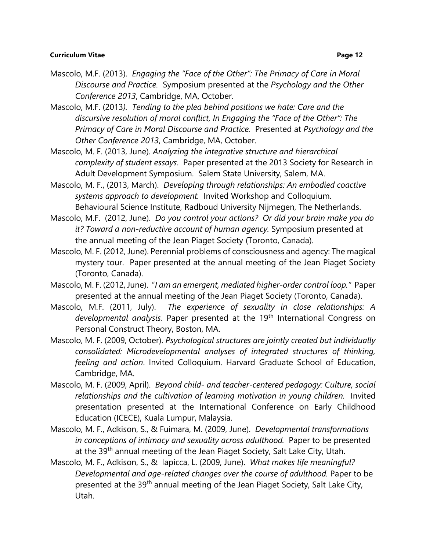- Mascolo, M.F. (2013). *Engaging the "Face of the Other": The Primacy of Care in Moral Discourse and Practice.* Symposium presented at the *Psychology and the Other Conference 2013*, Cambridge, MA, October.
- Mascolo, M.F. (2013*). Tending to the plea behind positions we hate: Care and the discursive resolution of moral conflict, In Engaging the "Face of the Other": The Primacy of Care in Moral Discourse and Practice.* Presented at *Psychology and the Other Conference 2013*, Cambridge, MA, October.
- Mascolo, M. F. (2013, June). *Analyzing the integrative structure and hierarchical complexity of student essays*. Paper presented at the 2013 Society for Research in Adult Development Symposium. Salem State University, Salem, MA.
- Mascolo, M. F., (2013, March). *Developing through relationships: An embodied coactive systems approach to development.* Invited Workshop and Colloquium. Behavioural Science Institute, Radboud University Nijmegen, The Netherlands.
- Mascolo, M.F. (2012, June). *Do you control your actions? Or did your brain make you do it? Toward a non-reductive account of human agency.* Symposium presented at the annual meeting of the Jean Piaget Society (Toronto, Canada).
- Mascolo, M. F. (2012, June). Perennial problems of consciousness and agency: The magical mystery tour. Paper presented at the annual meeting of the Jean Piaget Society (Toronto, Canada).
- Mascolo, M. F. (2012, June). "*I am an emergent, mediated higher-order control loop."* Paper presented at the annual meeting of the Jean Piaget Society (Toronto, Canada).
- Mascolo, M.F. (2011, July). *The experience of sexuality in close relationships: A*  developmental analysis. Paper presented at the 19<sup>th</sup> International Congress on Personal Construct Theory, Boston, MA.
- Mascolo, M. F. (2009, October). *Psychological structures are jointly created but individually consolidated: Microdevelopmental analyses of integrated structures of thinking, feeling and action*. Invited Colloquium. Harvard Graduate School of Education, Cambridge, MA.
- Mascolo, M. F. (2009, April). *Beyond child- and teacher-centered pedagogy: Culture, social relationships and the cultivation of learning motivation in young children.* Invited presentation presented at the International Conference on Early Childhood Education (ICECE), Kuala Lumpur, Malaysia.
- Mascolo, M. F., Adkison, S., & Fuimara, M. (2009, June). *Developmental transformations in conceptions of intimacy and sexuality across adulthood.* Paper to be presented at the 39<sup>th</sup> annual meeting of the Jean Piaget Society, Salt Lake City, Utah.
- Mascolo, M. F., Adkison, S., & Iapicca, L. (2009, June). *What makes life meaningful? Developmental and age-related changes over the course of adulthood.* Paper to be presented at the 39<sup>th</sup> annual meeting of the Jean Piaget Society, Salt Lake City, Utah.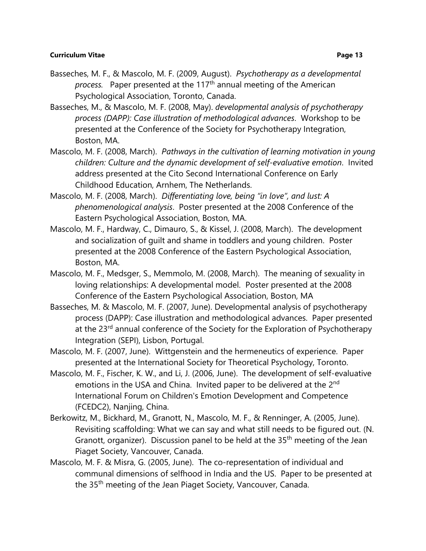- Basseches, M. F., & Mascolo, M. F. (2009, August). *Psychotherapy as a developmental process.* Paper presented at the 117th annual meeting of the American Psychological Association, Toronto, Canada.
- Basseches, M., & Mascolo, M. F. (2008, May). *developmental analysis of psychotherapy process (DAPP): Case illustration of methodological advances*. Workshop to be presented at the Conference of the Society for Psychotherapy Integration, Boston, MA.
- Mascolo, M. F. (2008, March). *Pathways in the cultivation of learning motivation in young children: Culture and the dynamic development of self-evaluative emotion*. Invited address presented at the Cito Second International Conference on Early Childhood Education, Arnhem, The Netherlands.
- Mascolo, M. F. (2008, March). *Differentiating love, being "in love", and lust: A phenomenological analysis*. Poster presented at the 2008 Conference of the Eastern Psychological Association, Boston, MA.
- Mascolo, M. F., Hardway, C., Dimauro, S., & Kissel, J. (2008, March). The development and socialization of guilt and shame in toddlers and young children. Poster presented at the 2008 Conference of the Eastern Psychological Association, Boston, MA.
- Mascolo, M. F., Medsger, S., Memmolo, M. (2008, March). The meaning of sexuality in loving relationships: A developmental model. Poster presented at the 2008 Conference of the Eastern Psychological Association, Boston, MA
- Basseches, M. & Mascolo, M. F. (2007, June). Developmental analysis of psychotherapy process (DAPP): Case illustration and methodological advances. Paper presented at the 23<sup>rd</sup> annual conference of the Society for the Exploration of Psychotherapy Integration (SEPI), Lisbon, Portugal.
- Mascolo, M. F. (2007, June). Wittgenstein and the hermeneutics of experience. Paper presented at the International Society for Theoretical Psychology, Toronto.
- Mascolo, M. F., Fischer, K. W., and Li, J. (2006, June). The development of self-evaluative emotions in the USA and China. Invited paper to be delivered at the 2<sup>nd</sup> International Forum on Children's Emotion Development and Competence (FCEDC2), Nanjing, China.
- Berkowitz, M., Bickhard, M., Granott, N., Mascolo, M. F., & Renninger, A. (2005, June). Revisiting scaffolding: What we can say and what still needs to be figured out. (N. Granott, organizer). Discussion panel to be held at the  $35<sup>th</sup>$  meeting of the Jean Piaget Society, Vancouver, Canada.
- Mascolo, M. F. & Misra, G. (2005, June). The co-representation of individual and communal dimensions of selfhood in India and the US. Paper to be presented at the 35<sup>th</sup> meeting of the Jean Piaget Society, Vancouver, Canada.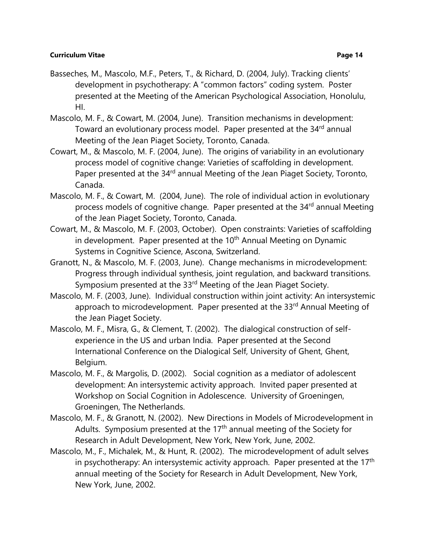- presented at the Meeting of the American Psychological Association, Honolulu, HI.
- Mascolo, M. F., & Cowart, M. (2004, June). Transition mechanisms in development: Toward an evolutionary process model. Paper presented at the 34<sup>rd</sup> annual Meeting of the Jean Piaget Society, Toronto, Canada.
- Cowart, M., & Mascolo, M. F. (2004, June). The origins of variability in an evolutionary process model of cognitive change: Varieties of scaffolding in development. Paper presented at the 34<sup>rd</sup> annual Meeting of the Jean Piaget Society, Toronto, Canada.
- Mascolo, M. F., & Cowart, M. (2004, June). The role of individual action in evolutionary process models of cognitive change. Paper presented at the 34<sup>rd</sup> annual Meeting of the Jean Piaget Society, Toronto, Canada.
- Cowart, M., & Mascolo, M. F. (2003, October). Open constraints: Varieties of scaffolding in development. Paper presented at the 10<sup>th</sup> Annual Meeting on Dynamic Systems in Cognitive Science, Ascona, Switzerland.
- Granott, N., & Mascolo, M. F. (2003, June). Change mechanisms in microdevelopment: Progress through individual synthesis, joint regulation, and backward transitions. Symposium presented at the 33<sup>rd</sup> Meeting of the Jean Piaget Society.
- Mascolo, M. F. (2003, June). Individual construction within joint activity: An intersystemic approach to microdevelopment. Paper presented at the 33rd Annual Meeting of the Jean Piaget Society.
- Mascolo, M. F., Misra, G., & Clement, T. (2002). The dialogical construction of selfexperience in the US and urban India. Paper presented at the Second International Conference on the Dialogical Self, University of Ghent, Ghent, Belgium.
- Mascolo, M. F., & Margolis, D. (2002). Social cognition as a mediator of adolescent development: An intersystemic activity approach. Invited paper presented at Workshop on Social Cognition in Adolescence. University of Groeningen, Groeningen, The Netherlands.
- Mascolo, M. F., & Granott, N. (2002). New Directions in Models of Microdevelopment in Adults. Symposium presented at the  $17<sup>th</sup>$  annual meeting of the Society for Research in Adult Development, New York, New York, June, 2002.
- Mascolo, M., F., Michalek, M., & Hunt, R. (2002). The microdevelopment of adult selves in psychotherapy: An intersystemic activity approach. Paper presented at the  $17<sup>th</sup>$ annual meeting of the Society for Research in Adult Development, New York, New York, June, 2002.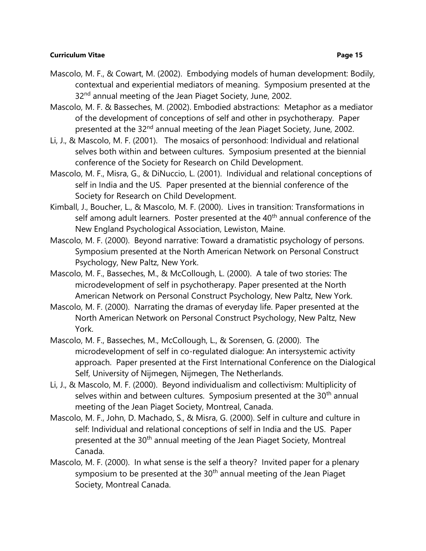- Mascolo, M. F., & Cowart, M. (2002). Embodying models of human development: Bodily, contextual and experiential mediators of meaning. Symposium presented at the 32<sup>nd</sup> annual meeting of the Jean Piaget Society, June, 2002.
- Mascolo, M. F. & Basseches, M. (2002). Embodied abstractions: Metaphor as a mediator of the development of conceptions of self and other in psychotherapy. Paper presented at the 32<sup>nd</sup> annual meeting of the Jean Piaget Society, June, 2002.
- Li, J., & Mascolo, M. F. (2001). The mosaics of personhood: Individual and relational selves both within and between cultures. Symposium presented at the biennial conference of the Society for Research on Child Development.
- Mascolo, M. F., Misra, G., & DiNuccio, L. (2001). Individual and relational conceptions of self in India and the US. Paper presented at the biennial conference of the Society for Research on Child Development.
- Kimball, J., Boucher, L., & Mascolo, M. F. (2000). Lives in transition: Transformations in self among adult learners. Poster presented at the 40<sup>th</sup> annual conference of the New England Psychological Association, Lewiston, Maine.
- Mascolo, M. F. (2000). Beyond narrative: Toward a dramatistic psychology of persons. Symposium presented at the North American Network on Personal Construct Psychology, New Paltz, New York.
- Mascolo, M. F., Basseches, M., & McCollough, L. (2000). A tale of two stories: The microdevelopment of self in psychotherapy. Paper presented at the North American Network on Personal Construct Psychology, New Paltz, New York.
- Mascolo, M. F. (2000). Narrating the dramas of everyday life. Paper presented at the North American Network on Personal Construct Psychology, New Paltz, New York.
- Mascolo, M. F., Basseches, M., McCollough, L., & Sorensen, G. (2000). The microdevelopment of self in co-regulated dialogue: An intersystemic activity approach. Paper presented at the First International Conference on the Dialogical Self, University of Nijmegen, Nijmegen, The Netherlands.
- Li, J., & Mascolo, M. F. (2000). Beyond individualism and collectivism: Multiplicity of selves within and between cultures. Symposium presented at the 30<sup>th</sup> annual meeting of the Jean Piaget Society, Montreal, Canada.
- Mascolo, M. F., John, D. Machado, S., & Misra, G. (2000). Self in culture and culture in self: Individual and relational conceptions of self in India and the US. Paper presented at the 30<sup>th</sup> annual meeting of the Jean Piaget Society, Montreal Canada.
- Mascolo, M. F. (2000). In what sense is the self a theory? Invited paper for a plenary symposium to be presented at the 30<sup>th</sup> annual meeting of the Jean Piaget Society, Montreal Canada.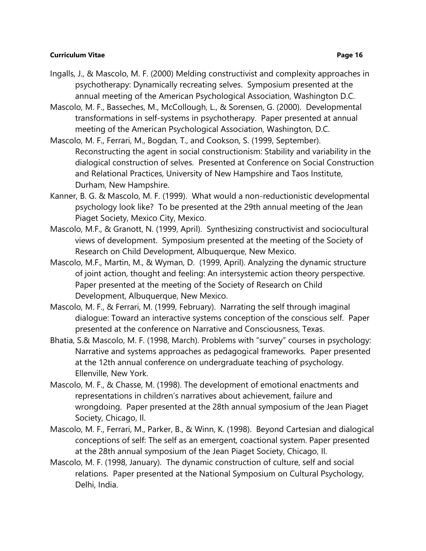- 
- Ingalls, J., & Mascolo, M. F. (2000) Melding constructivist and complexity approaches in psychotherapy: Dynamically recreating selves. Symposium presented at the annual meeting of the American Psychological Association, Washington D.C.
- Mascolo, M. F., Basseches, M., McCollough, L., & Sorensen, G. (2000). Developmental transformations in self-systems in psychotherapy. Paper presented at annual meeting of the American Psychological Association, Washington, D.C.
- Mascolo, M. F., Ferrari, M., Bogdan, T., and Cookson, S. (1999, September). Reconstructing the agent in social constructionism: Stability and variability in the dialogical construction of selves. Presented at Conference on Social Construction and Relational Practices, University of New Hampshire and Taos Institute, Durham, New Hampshire.
- Kanner, B. G. & Mascolo, M. F. (1999). What would a non-reductionistic developmental psychology look like? To be presented at the 29th annual meeting of the Jean Piaget Society, Mexico City, Mexico.
- Mascolo, M.F., & Granott, N. (1999, April). Synthesizing constructivist and sociocultural views of development. Symposium presented at the meeting of the Society of Research on Child Development, Albuquerque, New Mexico.
- Mascolo, M.F., Martin, M., & Wyman, D. (1999, April). Analyzing the dynamic structure of joint action, thought and feeling: An intersystemic action theory perspective. Paper presented at the meeting of the Society of Research on Child Development, Albuquerque, New Mexico.
- Mascolo, M. F., & Ferrari, M. (1999, February). Narrating the self through imaginal dialogue: Toward an interactive systems conception of the conscious self. Paper presented at the conference on Narrative and Consciousness, Texas.
- Bhatia, S.& Mascolo, M. F. (1998, March). Problems with "survey" courses in psychology: Narrative and systems approaches as pedagogical frameworks. Paper presented at the 12th annual conference on undergraduate teaching of psychology. Ellenville, New York.
- Mascolo, M. F., & Chasse, M. (1998). The development of emotional enactments and representations in children's narratives about achievement, failure and wrongdoing. Paper presented at the 28th annual symposium of the Jean Piaget Society, Chicago, Il.
- Mascolo, M. F., Ferrari, M., Parker, B., & Winn, K. (1998). Beyond Cartesian and dialogical conceptions of self: The self as an emergent, coactional system. Paper presented at the 28th annual symposium of the Jean Piaget Society, Chicago, Il.
- Mascolo, M. F. (1998, January). The dynamic construction of culture, self and social relations. Paper presented at the National Symposium on Cultural Psychology, Delhi, India.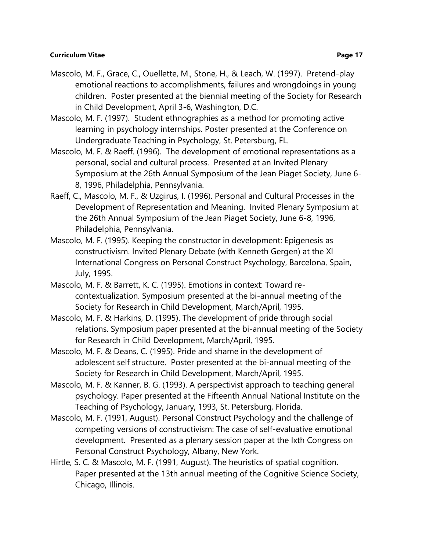- Mascolo, M. F., Grace, C., Ouellette, M., Stone, H., & Leach, W. (1997). Pretend-play emotional reactions to accomplishments, failures and wrongdoings in young children. Poster presented at the biennial meeting of the Society for Research in Child Development, April 3-6, Washington, D.C.
- Mascolo, M. F. (1997). Student ethnographies as a method for promoting active learning in psychology internships. Poster presented at the Conference on Undergraduate Teaching in Psychology, St. Petersburg, FL.
- Mascolo, M. F. & Raeff. (1996). The development of emotional representations as a personal, social and cultural process. Presented at an Invited Plenary Symposium at the 26th Annual Symposium of the Jean Piaget Society, June 6- 8, 1996, Philadelphia, Pennsylvania.
- Raeff, C., Mascolo, M. F., & Uzgirus, I. (1996). Personal and Cultural Processes in the Development of Representation and Meaning. Invited Plenary Symposium at the 26th Annual Symposium of the Jean Piaget Society, June 6-8, 1996, Philadelphia, Pennsylvania.
- Mascolo, M. F. (1995). Keeping the constructor in development: Epigenesis as constructivism. Invited Plenary Debate (with Kenneth Gergen) at the XI International Congress on Personal Construct Psychology, Barcelona, Spain, July, 1995.
- Mascolo, M. F. & Barrett, K. C. (1995). Emotions in context: Toward recontextualization. Symposium presented at the bi-annual meeting of the Society for Research in Child Development, March/April, 1995.
- Mascolo, M. F. & Harkins, D. (1995). The development of pride through social relations. Symposium paper presented at the bi-annual meeting of the Society for Research in Child Development, March/April, 1995.
- Mascolo, M. F. & Deans, C. (1995). Pride and shame in the development of adolescent self structure. Poster presented at the bi-annual meeting of the Society for Research in Child Development, March/April, 1995.
- Mascolo, M. F. & Kanner, B. G. (1993). A perspectivist approach to teaching general psychology. Paper presented at the Fifteenth Annual National Institute on the Teaching of Psychology, January, 1993, St. Petersburg, Florida.
- Mascolo, M. F. (1991, August). Personal Construct Psychology and the challenge of competing versions of constructivism: The case of self-evaluative emotional development. Presented as a plenary session paper at the Ixth Congress on Personal Construct Psychology, Albany, New York.
- Hirtle, S. C. & Mascolo, M. F. (1991, August). The heuristics of spatial cognition. Paper presented at the 13th annual meeting of the Cognitive Science Society, Chicago, Illinois.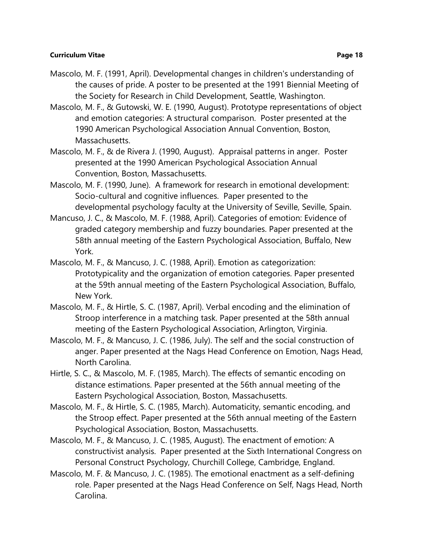- Mascolo, M. F. (1991, April). Developmental changes in children's understanding of the causes of pride. A poster to be presented at the 1991 Biennial Meeting of the Society for Research in Child Development, Seattle, Washington.
- Mascolo, M. F., & Gutowski, W. E. (1990, August). Prototype representations of object and emotion categories: A structural comparison. Poster presented at the 1990 American Psychological Association Annual Convention, Boston, Massachusetts.
- Mascolo, M. F., & de Rivera J. (1990, August). Appraisal patterns in anger. Poster presented at the 1990 American Psychological Association Annual Convention, Boston, Massachusetts.
- Mascolo, M. F. (1990, June). A framework for research in emotional development: Socio-cultural and cognitive influences. Paper presented to the developmental psychology faculty at the University of Seville, Seville, Spain.
- Mancuso, J. C., & Mascolo, M. F. (1988, April). Categories of emotion: Evidence of graded category membership and fuzzy boundaries. Paper presented at the 58th annual meeting of the Eastern Psychological Association, Buffalo, New York.
- Mascolo, M. F., & Mancuso, J. C. (1988, April). Emotion as categorization: Prototypicality and the organization of emotion categories. Paper presented at the 59th annual meeting of the Eastern Psychological Association, Buffalo, New York.
- Mascolo, M. F., & Hirtle, S. C. (1987, April). Verbal encoding and the elimination of Stroop interference in a matching task. Paper presented at the 58th annual meeting of the Eastern Psychological Association, Arlington, Virginia.
- Mascolo, M. F., & Mancuso, J. C. (1986, July). The self and the social construction of anger. Paper presented at the Nags Head Conference on Emotion, Nags Head, North Carolina.
- Hirtle, S. C., & Mascolo, M. F. (1985, March). The effects of semantic encoding on distance estimations. Paper presented at the 56th annual meeting of the Eastern Psychological Association, Boston, Massachusetts.
- Mascolo, M. F., & Hirtle, S. C. (1985, March). Automaticity, semantic encoding, and the Stroop effect. Paper presented at the 56th annual meeting of the Eastern Psychological Association, Boston, Massachusetts.
- Mascolo, M. F., & Mancuso, J. C. (1985, August). The enactment of emotion: A constructivist analysis. Paper presented at the Sixth International Congress on Personal Construct Psychology, Churchill College, Cambridge, England.
- Mascolo, M. F. & Mancuso, J. C. (1985). The emotional enactment as a self-defining role. Paper presented at the Nags Head Conference on Self, Nags Head, North Carolina.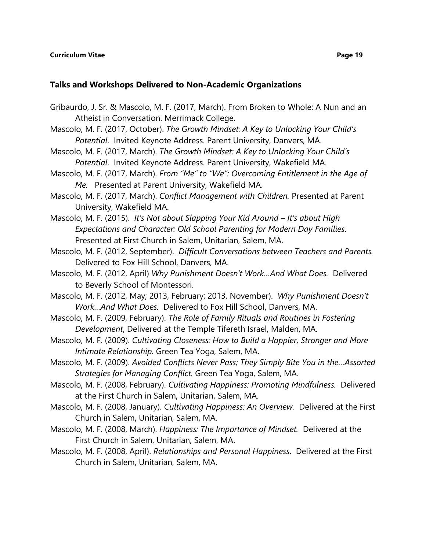## **Talks and Workshops Delivered to Non-Academic Organizations**

- Gribaurdo, J. Sr. & Mascolo, M. F. (2017, March). From Broken to Whole: A Nun and an Atheist in Conversation. Merrimack College.
- Mascolo, M. F. (2017, October). *The Growth Mindset: A Key to Unlocking Your Child's Potential*. Invited Keynote Address. Parent University, Danvers, MA.
- Mascolo, M. F. (2017, March). *The Growth Mindset: A Key to Unlocking Your Child's Potential*. Invited Keynote Address. Parent University, Wakefield MA.
- Mascolo, M. F. (2017, March). *From "Me" to "We": Overcoming Entitlement in the Age of Me.* Presented at Parent University, Wakefield MA.
- Mascolo, M. F. (2017, March). *Conflict Management with Children.* Presented at Parent University, Wakefield MA.
- Mascolo, M. F. (2015). *It's Not about Slapping Your Kid Around – It's about High Expectations and Character: Old School Parenting for Modern Day Families*. Presented at First Church in Salem, Unitarian, Salem, MA.
- Mascolo, M. F. (2012, September). *Difficult Conversations between Teachers and Parents.*  Delivered to Fox Hill School, Danvers, MA.
- Mascolo, M. F. (2012, April) *Why Punishment Doesn't Work…And What Does.* Delivered to Beverly School of Montessori.
- Mascolo, M. F. (2012, May; 2013, February; 2013, November). *Why Punishment Doesn't Work…And What Does.* Delivered to Fox Hill School, Danvers, MA.
- Mascolo, M. F. (2009, February). *The Role of Family Rituals and Routines in Fostering Development*, Delivered at the Temple Tifereth Israel, Malden, MA.
- Mascolo, M. F. (2009). *Cultivating Closeness: How to Build a Happier, Stronger and More Intimate Relationship.* Green Tea Yoga, Salem, MA.
- Mascolo, M. F. (2009). *Avoided Conflicts Never Pass; They Simply Bite You in the…Assorted Strategies for Managing Conflict.* Green Tea Yoga, Salem, MA.
- Mascolo, M. F. (2008, February). *Cultivating Happiness: Promoting Mindfulness.* Delivered at the First Church in Salem, Unitarian, Salem, MA.
- Mascolo, M. F. (2008, January). *Cultivating Happiness: An Overview.* Delivered at the First Church in Salem, Unitarian, Salem, MA.
- Mascolo, M. F. (2008, March). *Happiness: The Importance of Mindset.* Delivered at the First Church in Salem, Unitarian, Salem, MA.
- Mascolo, M. F. (2008, April). *Relationships and Personal Happiness*. Delivered at the First Church in Salem, Unitarian, Salem, MA.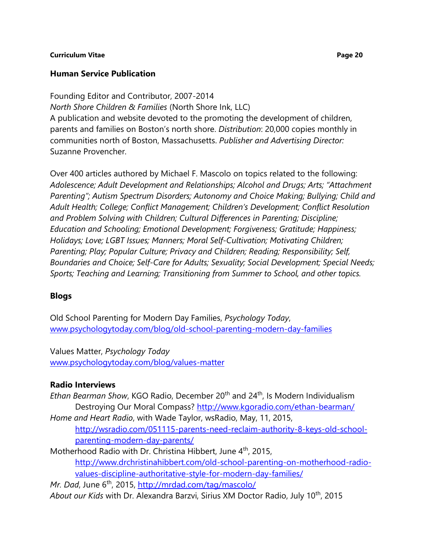# **Human Service Publication**

Founding Editor and Contributor, 2007-2014 *North Shore Children & Families* (North Shore Ink, LLC) A publication and website devoted to the promoting the development of children, parents and families on Boston's north shore. *Distribution*: 20,000 copies monthly in communities north of Boston, Massachusetts. *Publisher and Advertising Director:* Suzanne Provencher.

Over 400 articles authored by Michael F. Mascolo on topics related to the following: *Adolescence; Adult Development and Relationships; Alcohol and Drugs; Arts; "Attachment Parenting"; Autism Spectrum Disorders; Autonomy and Choice Making; Bullying; Child and Adult Health; College; Conflict Management; Children's Development; Conflict Resolution and Problem Solving with Children; Cultural Differences in Parenting; Discipline; Education and Schooling; Emotional Development; Forgiveness; Gratitude; Happiness; Holidays; Love; LGBT Issues; Manners; Moral Self-Cultivation; Motivating Children; Parenting; Play; Popular Culture; Privacy and Children; Reading; Responsibility; Self, Boundaries and Choice; Self-Care for Adults; Sexuality; Social Development; Special Needs; Sports; Teaching and Learning; Transitioning from Summer to School, and other topics.* 

# **Blogs**

Old School Parenting for Modern Day Families, *Psychology Today*, [www.psychologytoday.com/blog/old-school-parenting-modern-day-families](http://www.psychologytoday.com/blog/old-school-parenting-modern-day-families)

Values Matter, *Psychology Today* [www.psychologytoday.com/blog/values-matter](https://www.psychologytoday.com/blog/values-matter)

# **Radio Interviews**

*Ethan Bearman Show, KGO Radio, December 20<sup>th</sup> and 24<sup>th</sup>, Is Modern Individualism* Destroying Our Moral Compass?<http://www.kgoradio.com/ethan-bearman/>

*Home and Heart Radio*, with Wade Taylor, wsRadio, May, 11, 2015, [http://wsradio.com/051115-parents-need-reclaim-authority-8-keys-old-school](http://wsradio.com/051115-parents-need-reclaim-authority-8-keys-old-school-parenting-modern-day-parents/)[parenting-modern-day-parents/](http://wsradio.com/051115-parents-need-reclaim-authority-8-keys-old-school-parenting-modern-day-parents/)

Motherhood Radio with Dr. Christina Hibbert, June 4<sup>th</sup>, 2015, [http://www.drchristinahibbert.com/old-school-parenting-on-motherhood-radio](http://www.drchristinahibbert.com/old-school-parenting-on-motherhood-radio-values-discipline-authoritative-style-for-modern-day-families/)[values-discipline-authoritative-style-for-modern-day-families/](http://www.drchristinahibbert.com/old-school-parenting-on-motherhood-radio-values-discipline-authoritative-style-for-modern-day-families/)

*Mr. Dad*, June 6<sup>th</sup>, 2015,<http://mrdad.com/tag/mascolo/> *About our Kids* with Dr. Alexandra Barzvi, Sirius XM Doctor Radio, July 10th, 2015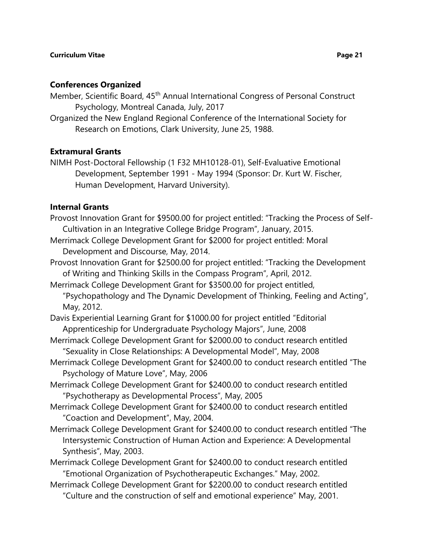## **Conferences Organized**

Member, Scientific Board, 45<sup>th</sup> Annual International Congress of Personal Construct Psychology, Montreal Canada, July, 2017

Organized the New England Regional Conference of the International Society for Research on Emotions, Clark University, June 25, 1988.

## **Extramural Grants**

NIMH Post-Doctoral Fellowship (1 F32 MH10128-01), Self-Evaluative Emotional Development, September 1991 - May 1994 (Sponsor: Dr. Kurt W. Fischer, Human Development, Harvard University).

## **Internal Grants**

Provost Innovation Grant for \$9500.00 for project entitled: "Tracking the Process of Self-Cultivation in an Integrative College Bridge Program", January, 2015.

- Merrimack College Development Grant for \$2000 for project entitled: Moral Development and Discourse, May, 2014.
- Provost Innovation Grant for \$2500.00 for project entitled: "Tracking the Development of Writing and Thinking Skills in the Compass Program", April, 2012.
- Merrimack College Development Grant for \$3500.00 for project entitled, "Psychopathology and The Dynamic Development of Thinking, Feeling and Acting",

May, 2012.

- Davis Experiential Learning Grant for \$1000.00 for project entitled "Editorial Apprenticeship for Undergraduate Psychology Majors", June, 2008
- Merrimack College Development Grant for \$2000.00 to conduct research entitled "Sexuality in Close Relationships: A Developmental Model", May, 2008
- Merrimack College Development Grant for \$2400.00 to conduct research entitled "The Psychology of Mature Love", May, 2006
- Merrimack College Development Grant for \$2400.00 to conduct research entitled "Psychotherapy as Developmental Process", May, 2005
- Merrimack College Development Grant for \$2400.00 to conduct research entitled "Coaction and Development", May, 2004.
- Merrimack College Development Grant for \$2400.00 to conduct research entitled "The Intersystemic Construction of Human Action and Experience: A Developmental Synthesis", May, 2003.
- Merrimack College Development Grant for \$2400.00 to conduct research entitled "Emotional Organization of Psychotherapeutic Exchanges." May, 2002.
- Merrimack College Development Grant for \$2200.00 to conduct research entitled "Culture and the construction of self and emotional experience" May, 2001.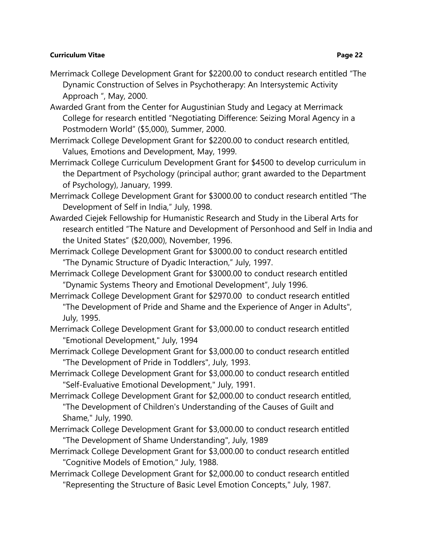- Merrimack College Development Grant for \$2200.00 to conduct research entitled "The Dynamic Construction of Selves in Psychotherapy: An Intersystemic Activity Approach ", May, 2000.
- Awarded Grant from the Center for Augustinian Study and Legacy at Merrimack College for research entitled "Negotiating Difference: Seizing Moral Agency in a Postmodern World" (\$5,000), Summer, 2000.
- Merrimack College Development Grant for \$2200.00 to conduct research entitled, Values, Emotions and Development, May, 1999.
- Merrimack College Curriculum Development Grant for \$4500 to develop curriculum in the Department of Psychology (principal author; grant awarded to the Department of Psychology), January, 1999.
- Merrimack College Development Grant for \$3000.00 to conduct research entitled "The Development of Self in India," July, 1998.
- Awarded Ciejek Fellowship for Humanistic Research and Study in the Liberal Arts for research entitled "The Nature and Development of Personhood and Self in India and the United States" (\$20,000), November, 1996.
- Merrimack College Development Grant for \$3000.00 to conduct research entitled "The Dynamic Structure of Dyadic Interaction," July, 1997.
- Merrimack College Development Grant for \$3000.00 to conduct research entitled "Dynamic Systems Theory and Emotional Development", July 1996.
- Merrimack College Development Grant for \$2970.00 to conduct research entitled "The Development of Pride and Shame and the Experience of Anger in Adults", July, 1995.
- Merrimack College Development Grant for \$3,000.00 to conduct research entitled "Emotional Development," July, 1994
- Merrimack College Development Grant for \$3,000.00 to conduct research entitled "The Development of Pride in Toddlers", July, 1993.
- Merrimack College Development Grant for \$3,000.00 to conduct research entitled "Self-Evaluative Emotional Development," July, 1991.
- Merrimack College Development Grant for \$2,000.00 to conduct research entitled, "The Development of Children's Understanding of the Causes of Guilt and Shame," July, 1990.
- Merrimack College Development Grant for \$3,000.00 to conduct research entitled "The Development of Shame Understanding", July, 1989
- Merrimack College Development Grant for \$3,000.00 to conduct research entitled "Cognitive Models of Emotion," July, 1988.
- Merrimack College Development Grant for \$2,000.00 to conduct research entitled "Representing the Structure of Basic Level Emotion Concepts," July, 1987.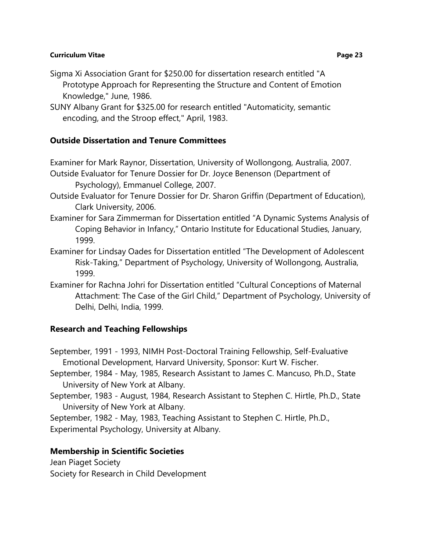- Sigma Xi Association Grant for \$250.00 for dissertation research entitled "A Prototype Approach for Representing the Structure and Content of Emotion Knowledge," June, 1986.
- SUNY Albany Grant for \$325.00 for research entitled "Automaticity, semantic encoding, and the Stroop effect," April, 1983.

# **Outside Dissertation and Tenure Committees**

Examiner for Mark Raynor, Dissertation, University of Wollongong, Australia, 2007.

- Outside Evaluator for Tenure Dossier for Dr. Joyce Benenson (Department of Psychology), Emmanuel College, 2007.
- Outside Evaluator for Tenure Dossier for Dr. Sharon Griffin (Department of Education), Clark University, 2006.
- Examiner for Sara Zimmerman for Dissertation entitled "A Dynamic Systems Analysis of Coping Behavior in Infancy," Ontario Institute for Educational Studies, January, 1999.
- Examiner for Lindsay Oades for Dissertation entitled "The Development of Adolescent Risk-Taking," Department of Psychology, University of Wollongong, Australia, 1999.
- Examiner for Rachna Johri for Dissertation entitled "Cultural Conceptions of Maternal Attachment: The Case of the Girl Child," Department of Psychology, University of Delhi, Delhi, India, 1999.

# **Research and Teaching Fellowships**

September, 1991 - 1993, NIMH Post-Doctoral Training Fellowship, Self-Evaluative Emotional Development, Harvard University, Sponsor: Kurt W. Fischer.

- September, 1984 May, 1985, Research Assistant to James C. Mancuso, Ph.D., State University of New York at Albany.
- September, 1983 August, 1984, Research Assistant to Stephen C. Hirtle, Ph.D., State University of New York at Albany.

September, 1982 - May, 1983, Teaching Assistant to Stephen C. Hirtle, Ph.D., Experimental Psychology, University at Albany.

# **Membership in Scientific Societies**

Jean Piaget Society Society for Research in Child Development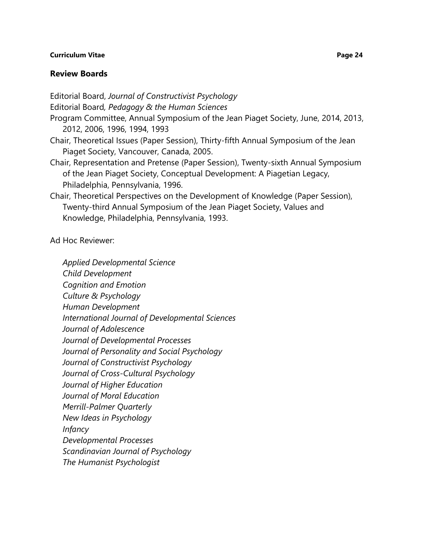### **Review Boards**

Editorial Board, *Journal of Constructivist Psychology*

Editorial Board*, Pedagogy & the Human Sciences*

- Program Committee, Annual Symposium of the Jean Piaget Society, June, 2014, 2013, 2012, 2006, 1996, 1994, 1993
- Chair, Theoretical Issues (Paper Session), Thirty-fifth Annual Symposium of the Jean Piaget Society, Vancouver, Canada, 2005.
- Chair, Representation and Pretense (Paper Session), Twenty-sixth Annual Symposium of the Jean Piaget Society, Conceptual Development: A Piagetian Legacy, Philadelphia, Pennsylvania, 1996.
- Chair, Theoretical Perspectives on the Development of Knowledge (Paper Session), Twenty-third Annual Symposium of the Jean Piaget Society, Values and Knowledge, Philadelphia, Pennsylvania, 1993.

Ad Hoc Reviewer:

*Applied Developmental Science Child Development Cognition and Emotion Culture & Psychology Human Development International Journal of Developmental Sciences Journal of Adolescence Journal of Developmental Processes Journal of Personality and Social Psychology Journal of Constructivist Psychology Journal of Cross-Cultural Psychology Journal of Higher Education Journal of Moral Education Merrill-Palmer Quarterly New Ideas in Psychology Infancy Developmental Processes Scandinavian Journal of Psychology The Humanist Psychologist*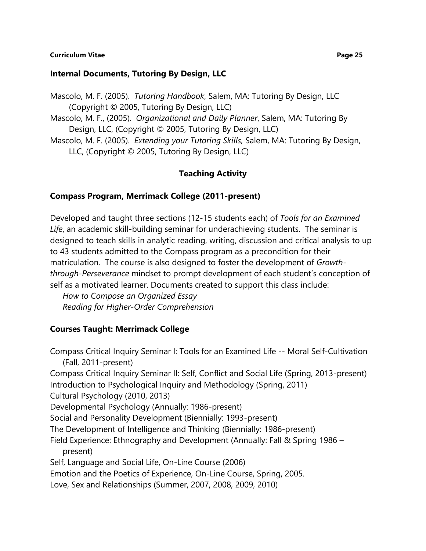### **Internal Documents, Tutoring By Design, LLC**

Mascolo, M. F. (2005). *Tutoring Handbook*, Salem, MA: Tutoring By Design, LLC (Copyright © 2005, Tutoring By Design, LLC) Mascolo, M. F., (2005). *Organizational and Daily Planner*, Salem, MA: Tutoring By Design, LLC, (Copyright © 2005, Tutoring By Design, LLC) Mascolo, M. F. (2005). *Extending your Tutoring Skills,* Salem, MA: Tutoring By Design, LLC, (Copyright © 2005, Tutoring By Design, LLC)

## **Teaching Activity**

### **Compass Program, Merrimack College (2011-present)**

Developed and taught three sections (12-15 students each) of *Tools for an Examined Life*, an academic skill-building seminar for underachieving students. The seminar is designed to teach skills in analytic reading, writing, discussion and critical analysis to up to 43 students admitted to the Compass program as a precondition for their matriculation. The course is also designed to foster the development of *Growththrough-Perseverance* mindset to prompt development of each student's conception of self as a motivated learner. Documents created to support this class include:

*How to Compose an Organized Essay Reading for Higher-Order Comprehension*

## **Courses Taught: Merrimack College**

Compass Critical Inquiry Seminar I: Tools for an Examined Life -- Moral Self-Cultivation (Fall, 2011-present) Compass Critical Inquiry Seminar II: Self, Conflict and Social Life (Spring, 2013-present) Introduction to Psychological Inquiry and Methodology (Spring, 2011) Cultural Psychology (2010, 2013) Developmental Psychology (Annually: 1986-present) Social and Personality Development (Biennially: 1993-present) The Development of Intelligence and Thinking (Biennially: 1986-present) Field Experience: Ethnography and Development (Annually: Fall & Spring 1986 – present) Self, Language and Social Life, On-Line Course (2006) Emotion and the Poetics of Experience, On-Line Course, Spring, 2005. Love, Sex and Relationships (Summer, 2007, 2008, 2009, 2010)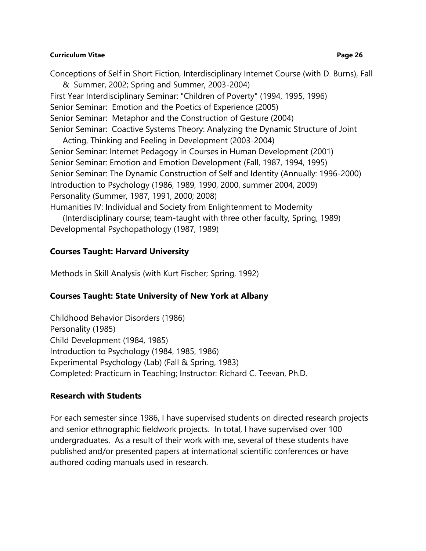Conceptions of Self in Short Fiction, Interdisciplinary Internet Course (with D. Burns), Fall & Summer, 2002; Spring and Summer, 2003-2004) First Year Interdisciplinary Seminar: "Children of Poverty" (1994, 1995, 1996) Senior Seminar: Emotion and the Poetics of Experience (2005) Senior Seminar: Metaphor and the Construction of Gesture (2004) Senior Seminar: Coactive Systems Theory: Analyzing the Dynamic Structure of Joint

Acting, Thinking and Feeling in Development (2003-2004) Senior Seminar: Internet Pedagogy in Courses in Human Development (2001) Senior Seminar: Emotion and Emotion Development (Fall, 1987, 1994, 1995) Senior Seminar: The Dynamic Construction of Self and Identity (Annually: 1996-2000) Introduction to Psychology (1986, 1989, 1990, 2000, summer 2004, 2009) Personality (Summer, 1987, 1991, 2000; 2008)

Humanities IV: Individual and Society from Enlightenment to Modernity

(Interdisciplinary course; team-taught with three other faculty, Spring, 1989) Developmental Psychopathology (1987, 1989)

# **Courses Taught: Harvard University**

Methods in Skill Analysis (with Kurt Fischer; Spring, 1992)

# **Courses Taught: State University of New York at Albany**

Childhood Behavior Disorders (1986) Personality (1985) Child Development (1984, 1985) Introduction to Psychology (1984, 1985, 1986) Experimental Psychology (Lab) (Fall & Spring, 1983) Completed: Practicum in Teaching; Instructor: Richard C. Teevan, Ph.D.

# **Research with Students**

For each semester since 1986, I have supervised students on directed research projects and senior ethnographic fieldwork projects. In total, I have supervised over 100 undergraduates. As a result of their work with me, several of these students have published and/or presented papers at international scientific conferences or have authored coding manuals used in research.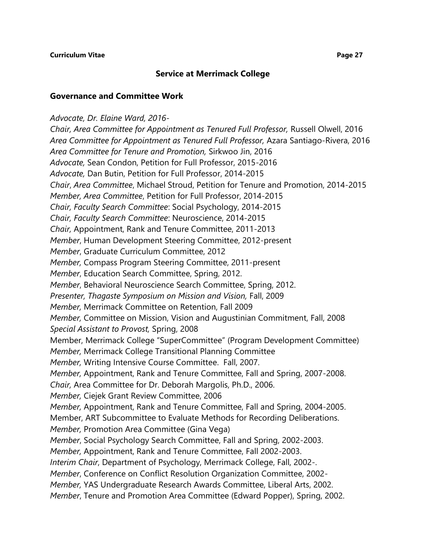## **Service at Merrimack College**

### **Governance and Committee Work**

### *Advocate, Dr. Elaine Ward, 2016-*

*Chair, Area Committee for Appointment as Tenured Full Professor,* Russell Olwell, 2016 *Area Committee for Appointment as Tenured Full Professor,* Azara Santiago-Rivera, 2016 *Area Committee for Tenure and Promotion,* Sirkwoo Jin, 2016 *Advocate,* Sean Condon, Petition for Full Professor, 2015-2016 *Advocate,* Dan Butin, Petition for Full Professor, 2014-2015 *Chair*, *Area Committee*, Michael Stroud, Petition for Tenure and Promotion, 2014-2015 *Member, Area Committee*, Petition for Full Professor, 2014-2015 *Chair, Faculty Search Committee*: Social Psychology, 2014-2015 *Chair, Faculty Search Committee*: Neuroscience, 2014-2015 *Chair,* Appointment, Rank and Tenure Committee, 2011-2013 *Member*, Human Development Steering Committee, 2012-present *Member*, Graduate Curriculum Committee, 2012 *Member,* Compass Program Steering Committee, 2011-present *Member*, Education Search Committee, Spring, 2012. *Member*, Behavioral Neuroscience Search Committee, Spring, 2012. *Presenter, Thagaste Symposium on Mission and Vision,* Fall, 2009 *Member,* Merrimack Committee on Retention, Fall 2009 *Member,* Committee on Mission, Vision and Augustinian Commitment, Fall, 2008 *Special Assistant to Provost,* Spring, 2008 Member, Merrimack College "SuperCommittee" (Program Development Committee) *Member,* Merrimack College Transitional Planning Committee *Member,* Writing Intensive Course Committee. Fall, 2007. *Member,* Appointment, Rank and Tenure Committee, Fall and Spring, 2007-2008. *Chair,* Area Committee for Dr. Deborah Margolis, Ph.D., 2006. *Member,* Ciejek Grant Review Committee, 2006 *Member,* Appointment, Rank and Tenure Committee, Fall and Spring, 2004-2005. Member, ART Subcommittee to Evaluate Methods for Recording Deliberations. *Member,* Promotion Area Committee (Gina Vega) *Member*, Social Psychology Search Committee, Fall and Spring, 2002-2003. *Member,* Appointment, Rank and Tenure Committee, Fall 2002-2003. *Interim Chair*, Department of Psychology, Merrimack College, Fall, 2002-. *Member*, Conference on Conflict Resolution Organization Committee, 2002- *Member,* YAS Undergraduate Research Awards Committee, Liberal Arts, 2002. *Member*, Tenure and Promotion Area Committee (Edward Popper), Spring, 2002.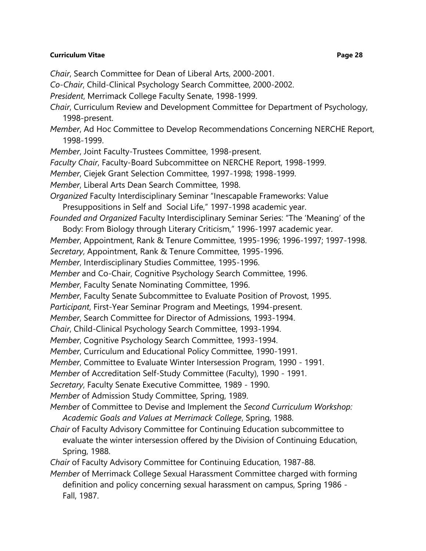- *Chair*, Search Committee for Dean of Liberal Arts, 2000-2001.
- *Co-Chair*, Child-Clinical Psychology Search Committee, 2000-2002.
- *President*, Merrimack College Faculty Senate, 1998-1999.
- *Chair*, Curriculum Review and Development Committee for Department of Psychology, 1998-present.
- *Member*, Ad Hoc Committee to Develop Recommendations Concerning NERCHE Report, 1998-1999.
- *Member*, Joint Faculty-Trustees Committee, 1998-present.
- *Faculty Chair*, Faculty-Board Subcommittee on NERCHE Report, 1998-1999.
- *Member*, Ciejek Grant Selection Committee, 1997-1998; 1998-1999.
- *Member*, Liberal Arts Dean Search Committee, 1998.
- *Organized* Faculty Interdisciplinary Seminar "Inescapable Frameworks: Value Presuppositions in Self and Social Life," 1997-1998 academic year.
- *Founded and Organized* Faculty Interdisciplinary Seminar Series: "The 'Meaning' of the Body: From Biology through Literary Criticism," 1996-1997 academic year.
- *Member*, Appointment, Rank & Tenure Committee, 1995-1996; 1996-1997; 1997-1998.
- *Secretary*, Appointment, Rank & Tenure Committee, 1995-1996.
- *Member*, Interdisciplinary Studies Committee, 1995-1996.
- *Member* and Co-Chair, Cognitive Psychology Search Committee, 1996.
- *Member*, Faculty Senate Nominating Committee, 1996.
- *Member*, Faculty Senate Subcommittee to Evaluate Position of Provost, 1995.
- *Participant*, First-Year Seminar Program and Meetings, 1994-present.
- *Member*, Search Committee for Director of Admissions, 1993-1994.
- *Chair*, Child-Clinical Psychology Search Committee, 1993-1994.
- *Member*, Cognitive Psychology Search Committee, 1993-1994.
- *Member*, Curriculum and Educational Policy Committee, 1990-1991.
- *Member*, Committee to Evaluate Winter Intersession Program, 1990 1991.
- *Member* of Accreditation Self-Study Committee (Faculty), 1990 1991.
- *Secretary*, Faculty Senate Executive Committee, 1989 1990.
- *Member* of Admission Study Committee, Spring, 1989.
- *Member* of Committee to Devise and Implement the *Second Curriculum Workshop: Academic Goals and Values at Merrimack College*, Spring, 1988.
- *Chair* of Faculty Advisory Committee for Continuing Education subcommittee to evaluate the winter intersession offered by the Division of Continuing Education, Spring, 1988.
- *Chair* of Faculty Advisory Committee for Continuing Education, 1987-88.
- *Member* of Merrimack College Sexual Harassment Committee charged with forming definition and policy concerning sexual harassment on campus, Spring 1986 - Fall, 1987.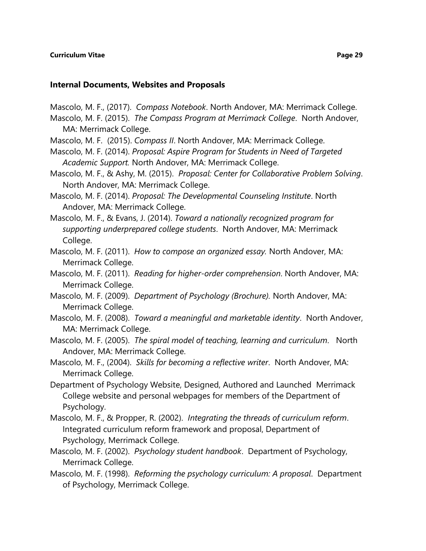### **Internal Documents, Websites and Proposals**

Mascolo, M. F., (2017). *Compass Notebook*. North Andover, MA: Merrimack College.

- Mascolo, M. F. (2015). *The Compass Program at Merrimack College*. North Andover, MA: Merrimack College.
- Mascolo, M. F. (2015). *Compass II*. North Andover, MA: Merrimack College.
- Mascolo, M. F. (2014). *Proposal: Aspire Program for Students in Need of Targeted Academic Support.* North Andover, MA: Merrimack College.
- Mascolo, M. F., & Ashy, M. (2015). *Proposal: Center for Collaborative Problem Solving*. North Andover, MA: Merrimack College.
- Mascolo, M. F. (2014). *Proposal: The Developmental Counseling Institute*. North Andover, MA: Merrimack College.
- Mascolo, M. F., & Evans, J. (2014). *Toward a nationally recognized program for supporting underprepared college students*. North Andover, MA: Merrimack College.
- Mascolo, M. F. (2011). *How to compose an organized essay.* North Andover, MA: Merrimack College.
- Mascolo, M. F. (2011). *Reading for higher-order comprehension*. North Andover, MA: Merrimack College.
- Mascolo, M. F. (2009). *Department of Psychology (Brochure).* North Andover, MA: Merrimack College.
- Mascolo, M. F. (2008). *Toward a meaningful and marketable identity*. North Andover, MA: Merrimack College.
- Mascolo, M. F. (2005). *The spiral model of teaching, learning and curriculum*. North Andover, MA: Merrimack College.
- Mascolo, M. F., (2004). *Skills for becoming a reflective writer*. North Andover, MA: Merrimack College.
- Department of Psychology Website, Designed, Authored and Launched Merrimack College website and personal webpages for members of the Department of Psychology.
- Mascolo, M. F., & Propper, R. (2002). *Integrating the threads of curriculum reform*. Integrated curriculum reform framework and proposal, Department of Psychology, Merrimack College.
- Mascolo, M. F. (2002). *Psychology student handbook*. Department of Psychology, Merrimack College.
- Mascolo, M. F. (1998). *Reforming the psychology curriculum: A proposal*. Department of Psychology, Merrimack College.